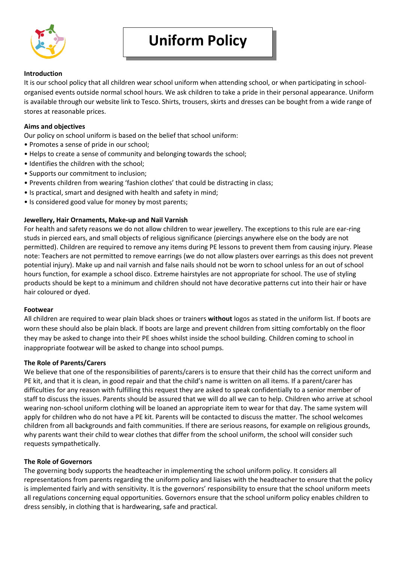

### **Introduction**

It is our school policy that all children wear school uniform when attending school, or when participating in schoolorganised events outside normal school hours. We ask children to take a pride in their personal appearance. Uniform is available through our website link to Tesco. Shirts, trousers, skirts and dresses can be bought from a wide range of stores at reasonable prices.

## **Aims and objectives**

Our policy on school uniform is based on the belief that school uniform:

- Promotes a sense of pride in our school;
- Helps to create a sense of community and belonging towards the school;
- Identifies the children with the school;
- Supports our commitment to inclusion;
- Prevents children from wearing 'fashion clothes' that could be distracting in class;
- Is practical, smart and designed with health and safety in mind;
- Is considered good value for money by most parents;

# **Jewellery, Hair Ornaments, Make-up and Nail Varnish**

For health and safety reasons we do not allow children to wear jewellery. The exceptions to this rule are ear-ring studs in pierced ears, and small objects of religious significance (piercings anywhere else on the body are not permitted). Children are required to remove any items during PE lessons to prevent them from causing injury. Please note: Teachers are not permitted to remove earrings (we do not allow plasters over earrings as this does not prevent potential injury). Make up and nail varnish and false nails should not be worn to school unless for an out of school hours function, for example a school disco. Extreme hairstyles are not appropriate for school. The use of styling products should be kept to a minimum and children should not have decorative patterns cut into their hair or have hair coloured or dyed.

### **Footwear**

All children are required to wear plain black shoes or trainers **without** logos as stated in the uniform list. If boots are worn these should also be plain black. If boots are large and prevent children from sitting comfortably on the floor they may be asked to change into their PE shoes whilst inside the school building. Children coming to school in inappropriate footwear will be asked to change into school pumps.

### **The Role of Parents/Carers**

We believe that one of the responsibilities of parents/carers is to ensure that their child has the correct uniform and PE kit, and that it is clean, in good repair and that the child's name is written on all items. If a parent/carer has difficulties for any reason with fulfilling this request they are asked to speak confidentially to a senior member of staff to discuss the issues. Parents should be assured that we will do all we can to help. Children who arrive at school wearing non-school uniform clothing will be loaned an appropriate item to wear for that day. The same system will apply for children who do not have a PE kit. Parents will be contacted to discuss the matter. The school welcomes children from all backgrounds and faith communities. If there are serious reasons, for example on religious grounds, why parents want their child to wear clothes that differ from the school uniform, the school will consider such requests sympathetically.

### **The Role of Governors**

The governing body supports the headteacher in implementing the school uniform policy. It considers all representations from parents regarding the uniform policy and liaises with the headteacher to ensure that the policy is implemented fairly and with sensitivity. It is the governors' responsibility to ensure that the school uniform meets all regulations concerning equal opportunities. Governors ensure that the school uniform policy enables children to dress sensibly, in clothing that is hardwearing, safe and practical.